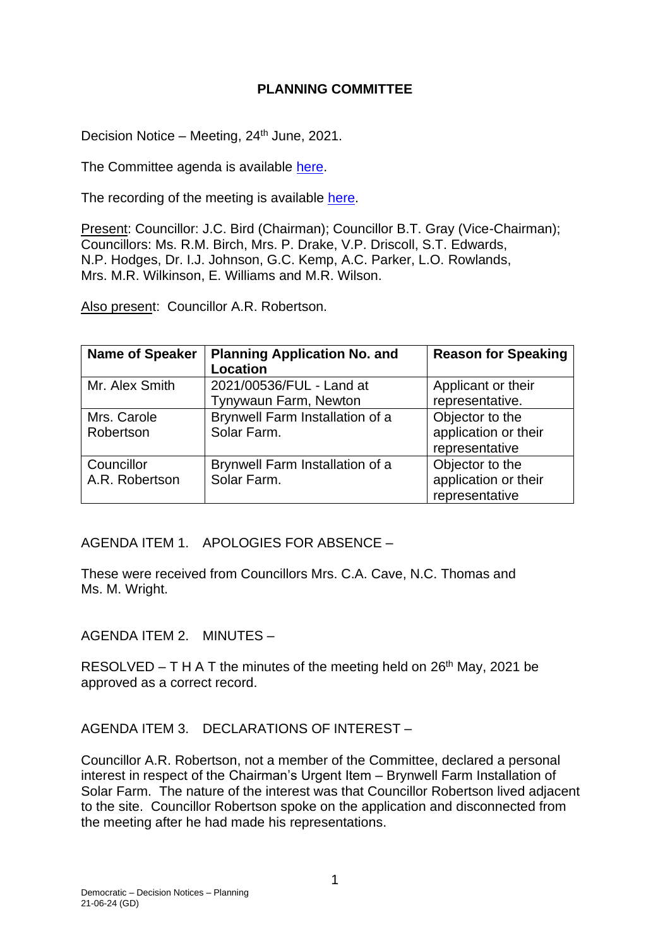### **PLANNING COMMITTEE**

Decision Notice – Meeting, 24<sup>th</sup> June, 2021.

The Committee agenda is available [here.](https://www.valeofglamorgan.gov.uk/en/our_council/Council-Structure/minutes,_agendas_and_reports/agendas/planning/2021/21-06-24.aspx)

The recording of the meeting is available [here.](https://gbr01.safelinks.protection.outlook.com/?url=https%3A%2F%2Fyoutu.be%2Fm2PBMummjkU&data=04%7C01%7CPJNel%40valeofglamorgan.gov.uk%7C997bba65b0bd4adab49808d937d8afc2%7Ce399d3bb38ed469691cf79851dbf55ec%7C0%7C0%7C637602226057399216%7CUnknown%7CTWFpbGZsb3d8eyJWIjoiMC4wLjAwMDAiLCJQIjoiV2luMzIiLCJBTiI6Ik1haWwiLCJXVCI6Mn0%3D%7C1000&sdata=BFTxxo3kW0HZY5GEVgqot2ZUWYXp7IH9EMVY4BCQVik%3D&reserved=0)

Present: Councillor: J.C. Bird (Chairman); Councillor B.T. Gray (Vice-Chairman); Councillors: Ms. R.M. Birch, Mrs. P. Drake, V.P. Driscoll, S.T. Edwards, N.P. Hodges, Dr. I.J. Johnson, G.C. Kemp, A.C. Parker, L.O. Rowlands, Mrs. M.R. Wilkinson, E. Williams and M.R. Wilson.

Also present: Councillor A.R. Robertson.

| <b>Name of Speaker</b> | <b>Planning Application No. and</b> | <b>Reason for Speaking</b> |
|------------------------|-------------------------------------|----------------------------|
|                        | Location                            |                            |
| Mr. Alex Smith         | 2021/00536/FUL - Land at            | Applicant or their         |
|                        | Tynywaun Farm, Newton               | representative.            |
| Mrs. Carole            | Brynwell Farm Installation of a     | Objector to the            |
| Robertson              | Solar Farm.                         | application or their       |
|                        |                                     | representative             |
| Councillor             | Brynwell Farm Installation of a     | Objector to the            |
| A.R. Robertson         | Solar Farm.                         | application or their       |
|                        |                                     | representative             |

AGENDA ITEM 1. APOLOGIES FOR ABSENCE –

These were received from Councillors Mrs. C.A. Cave, N.C. Thomas and Ms. M. Wright.

AGENDA ITEM 2. MINUTES –

RESOLVED – T H A T the minutes of the meeting held on  $26<sup>th</sup>$  May, 2021 be approved as a correct record.

AGENDA ITEM 3. DECLARATIONS OF INTEREST –

Councillor A.R. Robertson, not a member of the Committee, declared a personal interest in respect of the Chairman's Urgent Item – Brynwell Farm Installation of Solar Farm. The nature of the interest was that Councillor Robertson lived adjacent to the site. Councillor Robertson spoke on the application and disconnected from the meeting after he had made his representations.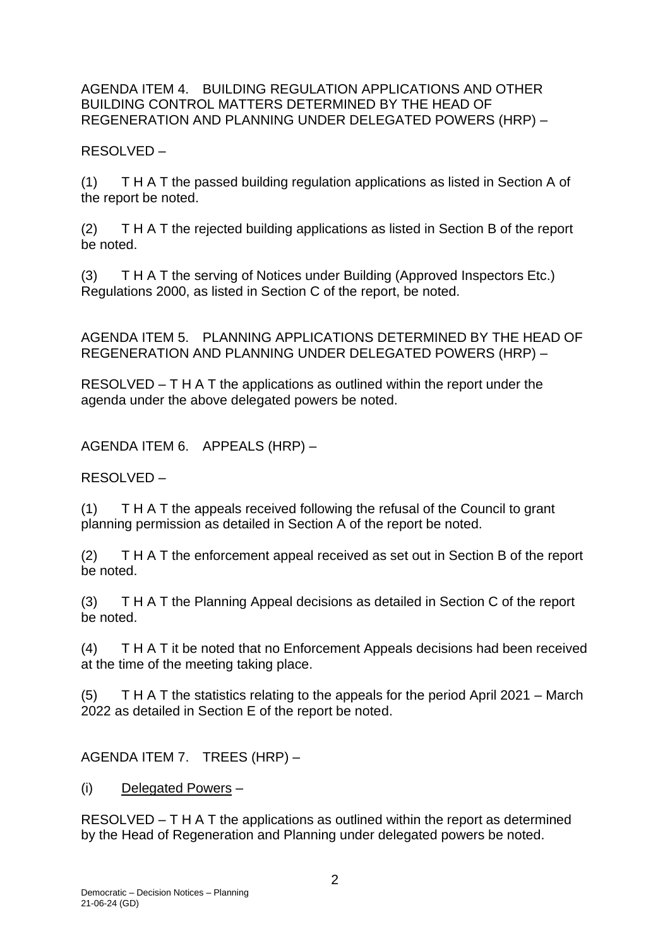### AGENDA ITEM 4. BUILDING REGULATION APPLICATIONS AND OTHER BUILDING CONTROL MATTERS DETERMINED BY THE HEAD OF REGENERATION AND PLANNING UNDER DELEGATED POWERS (HRP) –

RESOLVED –

(1) T H A T the passed building regulation applications as listed in Section A of the report be noted.

(2) T H A T the rejected building applications as listed in Section B of the report be noted.

(3) T H A T the serving of Notices under Building (Approved Inspectors Etc.) Regulations 2000, as listed in Section C of the report, be noted.

AGENDA ITEM 5. PLANNING APPLICATIONS DETERMINED BY THE HEAD OF REGENERATION AND PLANNING UNDER DELEGATED POWERS (HRP) –

RESOLVED – T H A T the applications as outlined within the report under the agenda under the above delegated powers be noted.

AGENDA ITEM 6. APPEALS (HRP) –

RESOLVED –

(1) T H A T the appeals received following the refusal of the Council to grant planning permission as detailed in Section A of the report be noted.

(2) T H A T the enforcement appeal received as set out in Section B of the report be noted.

(3) T H A T the Planning Appeal decisions as detailed in Section C of the report be noted.

(4) T H A T it be noted that no Enforcement Appeals decisions had been received at the time of the meeting taking place.

(5) T H A T the statistics relating to the appeals for the period April 2021 – March 2022 as detailed in Section E of the report be noted.

AGENDA ITEM 7. TREES (HRP) –

(i) Delegated Powers –

RESOLVED – T H A T the applications as outlined within the report as determined by the Head of Regeneration and Planning under delegated powers be noted.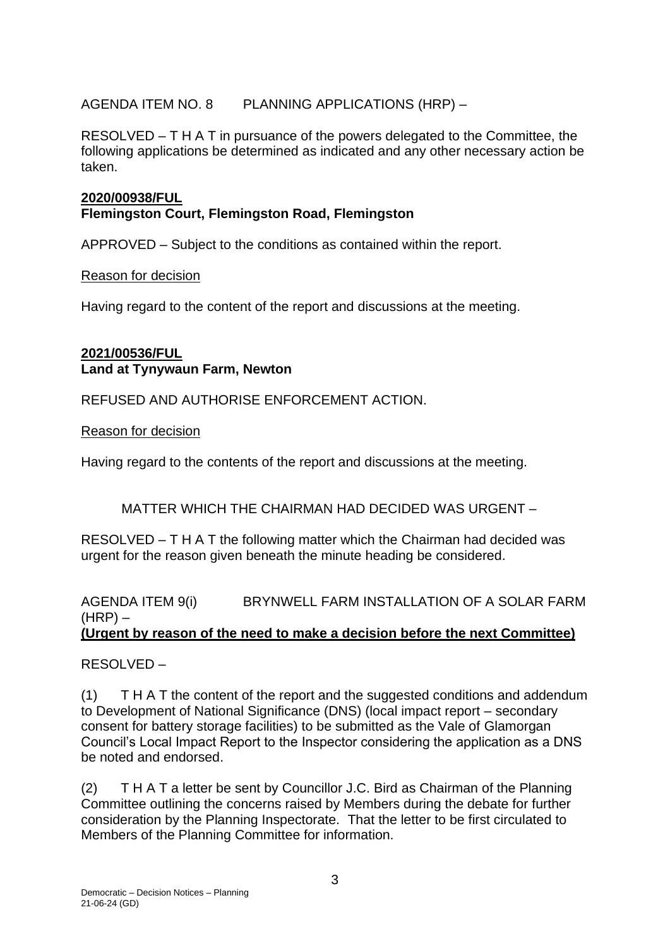# AGENDA ITEM NO. 8 PLANNING APPLICATIONS (HRP) –

RESOLVED – T H A T in pursuance of the powers delegated to the Committee, the following applications be determined as indicated and any other necessary action be taken.

### **2020/00938/FUL Flemingston Court, Flemingston Road, Flemingston**

APPROVED – Subject to the conditions as contained within the report.

### Reason for decision

Having regard to the content of the report and discussions at the meeting.

### **2021/00536/FUL Land at Tynywaun Farm, Newton**

REFUSED AND AUTHORISE ENFORCEMENT ACTION.

Reason for decision

Having regard to the contents of the report and discussions at the meeting.

# MATTER WHICH THE CHAIRMAN HAD DECIDED WAS URGENT –

RESOLVED – T H A T the following matter which the Chairman had decided was urgent for the reason given beneath the minute heading be considered.

#### AGENDA ITEM 9(i) BRYNWELL FARM INSTALLATION OF A SOLAR FARM  $(HRP)$  – **(Urgent by reason of the need to make a decision before the next Committee)**

# RESOLVED –

(1) T H A T the content of the report and the suggested conditions and addendum to Development of National Significance (DNS) (local impact report – secondary consent for battery storage facilities) to be submitted as the Vale of Glamorgan Council's Local Impact Report to the Inspector considering the application as a DNS be noted and endorsed.

(2) T H A T a letter be sent by Councillor J.C. Bird as Chairman of the Planning Committee outlining the concerns raised by Members during the debate for further consideration by the Planning Inspectorate. That the letter to be first circulated to Members of the Planning Committee for information.